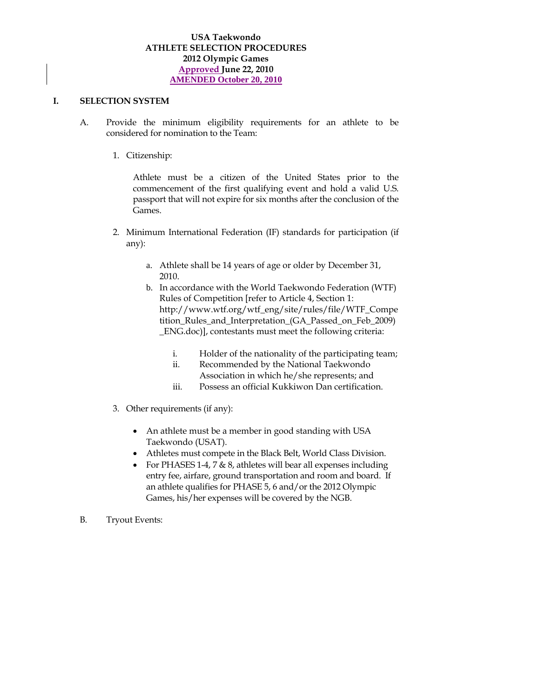### **USA Taekwondo ATHLETE SELECTION PROCEDURES 2012 Olympic Games Approved June 22, 2010 AMENDED October 20, 2010**

#### **I. SELECTION SYSTEM**

- A. Provide the minimum eligibility requirements for an athlete to be considered for nomination to the Team:
	- 1. Citizenship:

Athlete must be a citizen of the United States prior to the commencement of the first qualifying event and hold a valid U.S. passport that will not expire for six months after the conclusion of the Games.

- 2. Minimum International Federation (IF) standards for participation (if any):
	- a. Athlete shall be 14 years of age or older by December 31, 2010.
	- b. In accordance with the World Taekwondo Federation (WTF) Rules of Competition [refer to Article 4, Section 1: http://www.wtf.org/wtf\_eng/site/rules/file/WTF\_Compe tition\_Rules\_and\_Interpretation\_(GA\_Passed\_on\_Feb\_2009) \_ENG.doc)], contestants must meet the following criteria:
		- i. Holder of the nationality of the participating team;
		- ii. Recommended by the National Taekwondo
		- Association in which he/she represents; and
		- iii. Possess an official Kukkiwon Dan certification.
- 3. Other requirements (if any):
	- An athlete must be a member in good standing with USA Taekwondo (USAT).
	- Athletes must compete in the Black Belt, World Class Division.
	- For PHASES 1-4, 7  $\&$  8, athletes will bear all expenses including entry fee, airfare, ground transportation and room and board. If an athlete qualifies for PHASE 5, 6 and/or the 2012 Olympic Games, his/her expenses will be covered by the NGB.
- B. Tryout Events: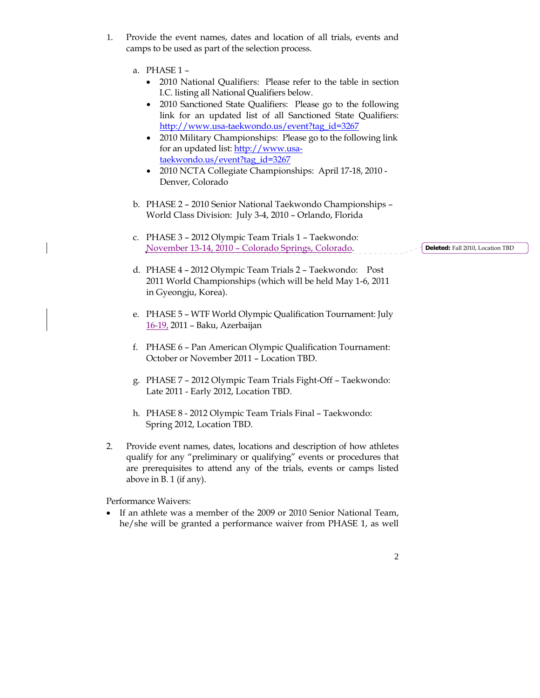- 1. Provide the event names, dates and location of all trials, events and camps to be used as part of the selection process.
	- a. PHASE 1
		- 2010 National Qualifiers: Please refer to the table in section I.C. listing all National Qualifiers below.
		- 2010 Sanctioned State Qualifiers: Please go to the following link for an updated list of all Sanctioned State Qualifiers: http://www.usa-taekwondo.us/event?tag\_id=3267
		- 2010 Military Championships: Please go to the following link for an updated list: http://www.usataekwondo.us/event?tag\_id=3267
		- 2010 NCTA Collegiate Championships: April 17-18, 2010 Denver, Colorado
	- b. PHASE 2 2010 Senior National Taekwondo Championships World Class Division: July 3-4, 2010 – Orlando, Florida
	- c. PHASE 3 2012 Olympic Team Trials 1 Taekwondo: November 13-14, 2010 – Colorado Springs, Colorado. **Deleted:** Fall 2010, Location TBD
	- d. PHASE 4 2012 Olympic Team Trials 2 Taekwondo: Post 2011 World Championships (which will be held May 1-6, 2011 in Gyeongju, Korea).
	- e. PHASE 5 WTF World Olympic Qualification Tournament: July 16-19, 2011 – Baku, Azerbaijan
	- f. PHASE 6 Pan American Olympic Qualification Tournament: October or November 2011 – Location TBD.
	- g. PHASE 7 2012 Olympic Team Trials Fight-Off Taekwondo: Late 2011 - Early 2012, Location TBD.
	- h. PHASE 8 2012 Olympic Team Trials Final Taekwondo: Spring 2012, Location TBD.
- 2. Provide event names, dates, locations and description of how athletes qualify for any "preliminary or qualifying" events or procedures that are prerequisites to attend any of the trials, events or camps listed above in B. 1 (if any).

Performance Waivers:

- If an athlete was a member of the 2009 or 2010 Senior National Team, he/she will be granted a performance waiver from PHASE 1, as well
	- 2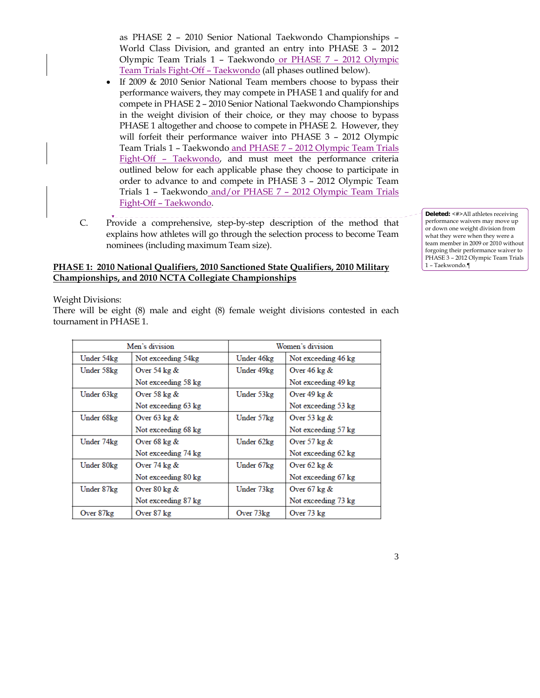as PHASE 2 – 2010 Senior National Taekwondo Championships – World Class Division, and granted an entry into PHASE 3 – 2012 Olympic Team Trials 1 – Taekwondo or PHASE 7 – 2012 Olympic Team Trials Fight-Off – Taekwondo (all phases outlined below).

- If 2009 & 2010 Senior National Team members choose to bypass their performance waivers, they may compete in PHASE 1 and qualify for and compete in PHASE 2 – 2010 Senior National Taekwondo Championships in the weight division of their choice, or they may choose to bypass PHASE 1 altogether and choose to compete in PHASE 2. However, they will forfeit their performance waiver into PHASE 3 – 2012 Olympic Team Trials 1 – Taekwondo and PHASE 7 – 2012 Olympic Team Trials Fight-Off – Taekwondo, and must meet the performance criteria outlined below for each applicable phase they choose to participate in order to advance to and compete in PHASE 3 – 2012 Olympic Team Trials 1 – Taekwondo and/or PHASE 7 – 2012 Olympic Team Trials Fight-Off – Taekwondo.
- C. Provide a comprehensive, step-by-step description of the method that explains how athletes will go through the selection process to become Team nominees (including maximum Team size).

# **PHASE 1: 2010 National Qualifiers, 2010 Sanctioned State Qualifiers, 2010 Military Championships, and 2010 NCTA Collegiate Championships**

Weight Divisions:

There will be eight (8) male and eight (8) female weight divisions contested in each tournament in PHASE 1.

| Men's division |                        | Women's division |                        |
|----------------|------------------------|------------------|------------------------|
| Under 54kg     | Not exceeding 54kg     | Under 46kg       | Not exceeding 46 kg    |
| Under 58kg     | Over 54 $\text{kg} \&$ | Under 49kg       | Over $46 \text{ kg}$ & |
|                | Not exceeding 58 kg    |                  | Not exceeding 49 kg    |
| Under 63kg     | Over 58 $\text{kg} \&$ | Under 53kg       | Over 49 $\text{kg} \&$ |
|                | Not exceeding 63 kg    |                  | Not exceeding 53 kg    |
| Under 68kg     | Over $63 \text{ kg}$ & | Under 57kg       | Over 53 $\text{kg} \&$ |
|                | Not exceeding 68 kg    |                  | Not exceeding 57 kg    |
| Under 74kg     | Over $68 \text{ kg}$ & | Under 62kg       | Over 57 $\text{kg} \&$ |
|                | Not exceeding 74 kg    |                  | Not exceeding 62 kg    |
| Under 80kg     | Over $74 \text{ kg}$ & | Under 67kg       | Over $62 \text{ kg}$ & |
|                | Not exceeding 80 kg    |                  | Not exceeding 67 kg    |
| Under 87kg     | Over $80 \text{ kg}$ & | Under 73kg       | Over $67$ kg $\&$      |
|                | Not exceeding 87 kg    |                  | Not exceeding 73 kg    |
| Over 87kg      | Over 87 kg             | Over 73kg        | Over 73 kg             |

**Deleted:** <#>All athletes receiving performance waivers may move up or down one weight division from what they were when they were a team member in 2009 or 2010 without forgoing their performance waiver to PHASE 3 – 2012 Olympic Team Trials 1 – Taekwondo.¶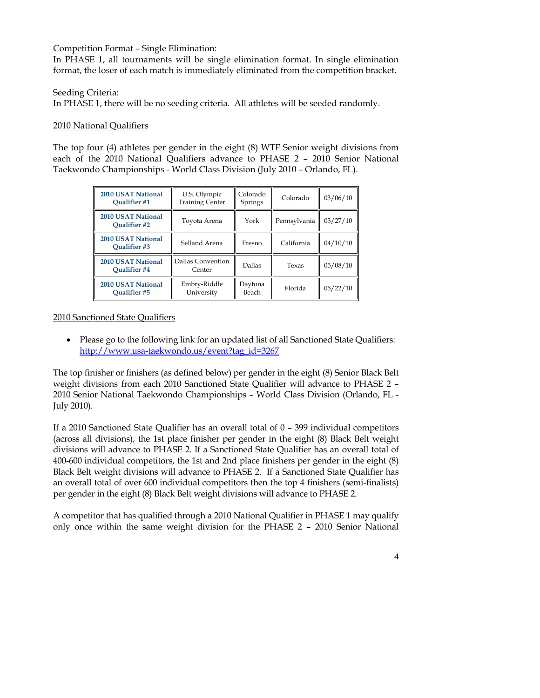Competition Format – Single Elimination:

In PHASE 1, all tournaments will be single elimination format. In single elimination format, the loser of each match is immediately eliminated from the competition bracket.

Seeding Criteria:

In PHASE 1, there will be no seeding criteria. All athletes will be seeded randomly.

#### 2010 National Qualifiers

The top four (4) athletes per gender in the eight (8) WTF Senior weight divisions from each of the 2010 National Qualifiers advance to PHASE 2 – 2010 Senior National Taekwondo Championships - World Class Division (July 2010 – Orlando, FL).

| <b>2010 USAT National</b><br><b>Oualifier #1</b>                                | U.S. Olympic<br><b>Training Center</b> |                  | Colorado     | 03/06/10 |
|---------------------------------------------------------------------------------|----------------------------------------|------------------|--------------|----------|
| 2010 USAT National<br><b>Oualifier #2</b>                                       | Toyota Arena                           | York             | Pennsylvania | 03/27/10 |
| <b>2010 USAT National</b><br>Selland Arena<br><b>Oualifier #3</b>               |                                        | Fresno           | California   | 04/10/10 |
| <b>2010 USAT National</b><br>Dallas Convention<br><b>Oualifier</b> #4<br>Center |                                        | Dallas           | Texas        | 05/08/10 |
| 2010 USAT National<br>Embry-Riddle<br>University<br><b>Oualifier #5</b>         |                                        | Daytona<br>Beach | Florida      | 05/22/10 |

2010 Sanctioned State Qualifiers

• Please go to the following link for an updated list of all Sanctioned State Qualifiers: http://www.usa-taekwondo.us/event?tag\_id=3267

The top finisher or finishers (as defined below) per gender in the eight (8) Senior Black Belt weight divisions from each 2010 Sanctioned State Qualifier will advance to PHASE 2 – 2010 Senior National Taekwondo Championships – World Class Division (Orlando, FL - July 2010).

If a 2010 Sanctioned State Qualifier has an overall total of 0 – 399 individual competitors (across all divisions), the 1st place finisher per gender in the eight (8) Black Belt weight divisions will advance to PHASE 2. If a Sanctioned State Qualifier has an overall total of 400-600 individual competitors, the 1st and 2nd place finishers per gender in the eight (8) Black Belt weight divisions will advance to PHASE 2. If a Sanctioned State Qualifier has an overall total of over 600 individual competitors then the top 4 finishers (semi-finalists) per gender in the eight (8) Black Belt weight divisions will advance to PHASE 2.

A competitor that has qualified through a 2010 National Qualifier in PHASE 1 may qualify only once within the same weight division for the PHASE 2 – 2010 Senior National

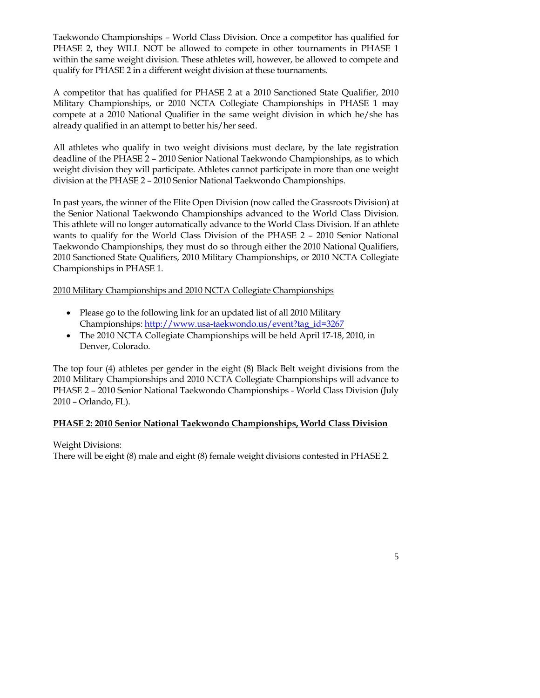Taekwondo Championships – World Class Division. Once a competitor has qualified for PHASE 2, they WILL NOT be allowed to compete in other tournaments in PHASE 1 within the same weight division. These athletes will, however, be allowed to compete and qualify for PHASE 2 in a different weight division at these tournaments.

A competitor that has qualified for PHASE 2 at a 2010 Sanctioned State Qualifier, 2010 Military Championships, or 2010 NCTA Collegiate Championships in PHASE 1 may compete at a 2010 National Qualifier in the same weight division in which he/she has already qualified in an attempt to better his/her seed.

All athletes who qualify in two weight divisions must declare, by the late registration deadline of the PHASE 2 – 2010 Senior National Taekwondo Championships, as to which weight division they will participate. Athletes cannot participate in more than one weight division at the PHASE 2 – 2010 Senior National Taekwondo Championships.

In past years, the winner of the Elite Open Division (now called the Grassroots Division) at the Senior National Taekwondo Championships advanced to the World Class Division. This athlete will no longer automatically advance to the World Class Division. If an athlete wants to qualify for the World Class Division of the PHASE 2 – 2010 Senior National Taekwondo Championships, they must do so through either the 2010 National Qualifiers, 2010 Sanctioned State Qualifiers, 2010 Military Championships, or 2010 NCTA Collegiate Championships in PHASE 1.

# 2010 Military Championships and 2010 NCTA Collegiate Championships

- Please go to the following link for an updated list of all 2010 Military Championships: http://www.usa-taekwondo.us/event?tag\_id=3267
- The 2010 NCTA Collegiate Championships will be held April 17-18, 2010, in Denver, Colorado.

The top four (4) athletes per gender in the eight (8) Black Belt weight divisions from the 2010 Military Championships and 2010 NCTA Collegiate Championships will advance to PHASE 2 – 2010 Senior National Taekwondo Championships - World Class Division (July 2010 – Orlando, FL).

# **PHASE 2: 2010 Senior National Taekwondo Championships, World Class Division**

Weight Divisions:

There will be eight (8) male and eight (8) female weight divisions contested in PHASE 2.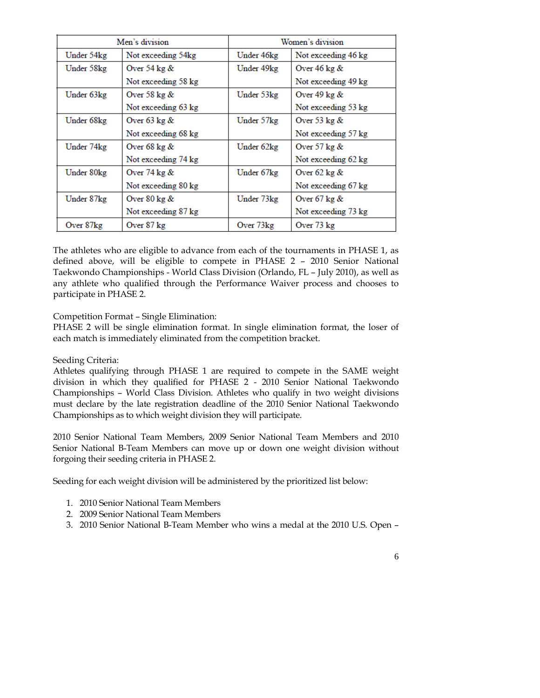| Men's division |                        | Women's division |                        |
|----------------|------------------------|------------------|------------------------|
| Under 54kg     | Not exceeding 54kg     | Under 46kg       | Not exceeding 46 kg    |
| Under 58kg     | Over 54 $\text{kg} \&$ | Under 49kg       | Over $46 \text{ kg}$ & |
|                | Not exceeding 58 kg    |                  | Not exceeding 49 kg    |
| Under 63kg     | Over 58 $\text{kg} \&$ | Under 53kg       | Over 49 $\text{kg} \&$ |
|                | Not exceeding 63 kg    |                  | Not exceeding 53 kg    |
| Under 68kg     | Over $63$ kg $\&$      | Under 57kg       | Over 53 $\text{kg} \&$ |
|                | Not exceeding 68 kg    |                  | Not exceeding 57 kg    |
| Under 74kg     | Over $68 \text{ kg}$ & | Under 62kg       | Over $57$ kg $\&$      |
|                | Not exceeding 74 kg    |                  | Not exceeding 62 kg    |
| Under 80kg     | Over $74 \text{ kg}$ & | Under 67kg       | Over $62$ kg $\&$      |
|                | Not exceeding 80 kg    |                  | Not exceeding 67 kg    |
| Under 87kg     | Over $80 \text{ kg}$ & | Under 73kg       | Over $67 \text{ kg}$ & |
|                | Not exceeding 87 kg    |                  | Not exceeding 73 kg    |
| Over 87kg      | Over 87 kg             | Over 73kg        | Over 73 kg             |

The athletes who are eligible to advance from each of the tournaments in PHASE 1, as defined above, will be eligible to compete in PHASE 2 – 2010 Senior National Taekwondo Championships - World Class Division (Orlando, FL – July 2010), as well as any athlete who qualified through the Performance Waiver process and chooses to participate in PHASE 2.

Competition Format – Single Elimination:

PHASE 2 will be single elimination format. In single elimination format, the loser of each match is immediately eliminated from the competition bracket.

#### Seeding Criteria:

Athletes qualifying through PHASE 1 are required to compete in the SAME weight division in which they qualified for PHASE 2 - 2010 Senior National Taekwondo Championships – World Class Division. Athletes who qualify in two weight divisions must declare by the late registration deadline of the 2010 Senior National Taekwondo Championships as to which weight division they will participate.

2010 Senior National Team Members, 2009 Senior National Team Members and 2010 Senior National B-Team Members can move up or down one weight division without forgoing their seeding criteria in PHASE 2.

Seeding for each weight division will be administered by the prioritized list below:

- 1. 2010 Senior National Team Members
- 2. 2009 Senior National Team Members
- 3. 2010 Senior National B-Team Member who wins a medal at the 2010 U.S. Open –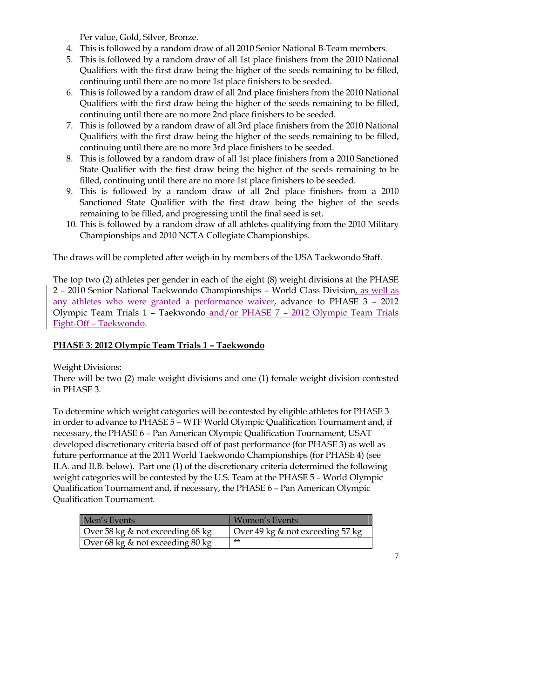Per value, Gold, Silver, Bronze.

- 4. This is followed by a random draw of all 2010 Senior National B-Team members.
- 5. This is followed by a random draw of all 1st place finishers from the 2010 National Qualifiers with the first draw being the higher of the seeds remaining to be filled, continuing until there are no more 1st place finishers to be seeded.
- 6. This is followed by a random draw of all 2nd place finishers from the 2010 National Qualifiers with the first draw being the higher of the seeds remaining to be filled, continuing until there are no more 2nd place finishers to be seeded.
- 7. This is followed by a random draw of all 3rd place finishers from the 2010 National Qualifiers with the first draw being the higher of the seeds remaining to be filled, continuing until there are no more 3rd place finishers to be seeded.
- 8. This is followed by a random draw of all 1st place finishers from a 2010 Sanctioned State Qualifier with the first draw being the higher of the seeds remaining to be filled, continuing until there are no more 1st place finishers to be seeded.
- 9. This is followed by a random draw of all 2nd place finishers from a 2010 Sanctioned State Qualifier with the first draw being the higher of the seeds remaining to be filled, and progressing until the final seed is set.
- 10. This is followed by a random draw of all athletes qualifying from the 2010 Military Championships and 2010 NCTA Collegiate Championships.

The draws will be completed after weigh-in by members of the USA Taekwondo Staff.

The top two (2) athletes per gender in each of the eight (8) weight divisions at the PHASE 2 – 2010 Senior National Taekwondo Championships – World Class Division, as well as any athletes who were granted a performance waiver, advance to PHASE 3 – 2012 Olympic Team Trials 1 – Taekwondo and/or PHASE 7 – 2012 Olympic Team Trials Fight-Off – Taekwondo.

# **PHASE 3: 2012 Olympic Team Trials 1 – Taekwondo**

Weight Divisions:

There will be two (2) male weight divisions and one (1) female weight division contested in PHASE 3.

To determine which weight categories will be contested by eligible athletes for PHASE 3 in order to advance to PHASE 5 – WTF World Olympic Qualification Tournament and, if necessary, the PHASE 6 – Pan American Olympic Qualification Tournament, USAT developed discretionary criteria based off of past performance (for PHASE 3) as well as future performance at the 2011 World Taekwondo Championships (for PHASE 4) (see II.A. and II.B. below). Part one (1) of the discretionary criteria determined the following weight categories will be contested by the U.S. Team at the PHASE 5 – World Olympic Qualification Tournament and, if necessary, the PHASE 6 – Pan American Olympic Qualification Tournament.

| Men's Events                     | Women's Events                   |
|----------------------------------|----------------------------------|
| Over 58 kg & not exceeding 68 kg | Over 49 kg & not exceeding 57 kg |
| Over 68 kg & not exceeding 80 kg | $**$                             |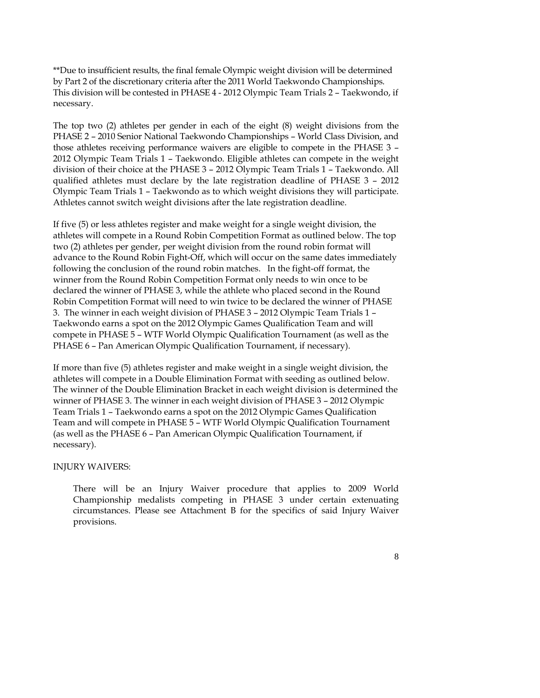\*\*Due to insufficient results, the final female Olympic weight division will be determined by Part 2 of the discretionary criteria after the 2011 World Taekwondo Championships. This division will be contested in PHASE 4 - 2012 Olympic Team Trials 2 – Taekwondo, if necessary.

The top two (2) athletes per gender in each of the eight (8) weight divisions from the PHASE 2 – 2010 Senior National Taekwondo Championships – World Class Division, and those athletes receiving performance waivers are eligible to compete in the PHASE 3 – 2012 Olympic Team Trials 1 – Taekwondo. Eligible athletes can compete in the weight division of their choice at the PHASE 3 – 2012 Olympic Team Trials 1 – Taekwondo. All qualified athletes must declare by the late registration deadline of PHASE 3 – 2012 Olympic Team Trials 1 – Taekwondo as to which weight divisions they will participate. Athletes cannot switch weight divisions after the late registration deadline.

If five (5) or less athletes register and make weight for a single weight division, the athletes will compete in a Round Robin Competition Format as outlined below. The top two (2) athletes per gender, per weight division from the round robin format will advance to the Round Robin Fight-Off, which will occur on the same dates immediately following the conclusion of the round robin matches. In the fight-off format, the winner from the Round Robin Competition Format only needs to win once to be declared the winner of PHASE 3, while the athlete who placed second in the Round Robin Competition Format will need to win twice to be declared the winner of PHASE 3. The winner in each weight division of PHASE 3 – 2012 Olympic Team Trials 1 – Taekwondo earns a spot on the 2012 Olympic Games Qualification Team and will compete in PHASE 5 – WTF World Olympic Qualification Tournament (as well as the PHASE 6 – Pan American Olympic Qualification Tournament, if necessary).

If more than five (5) athletes register and make weight in a single weight division, the athletes will compete in a Double Elimination Format with seeding as outlined below. The winner of the Double Elimination Bracket in each weight division is determined the winner of PHASE 3. The winner in each weight division of PHASE 3 – 2012 Olympic Team Trials 1 – Taekwondo earns a spot on the 2012 Olympic Games Qualification Team and will compete in PHASE 5 – WTF World Olympic Qualification Tournament (as well as the PHASE 6 – Pan American Olympic Qualification Tournament, if necessary).

#### INJURY WAIVERS:

 There will be an Injury Waiver procedure that applies to 2009 World Championship medalists competing in PHASE 3 under certain extenuating circumstances. Please see Attachment B for the specifics of said Injury Waiver provisions.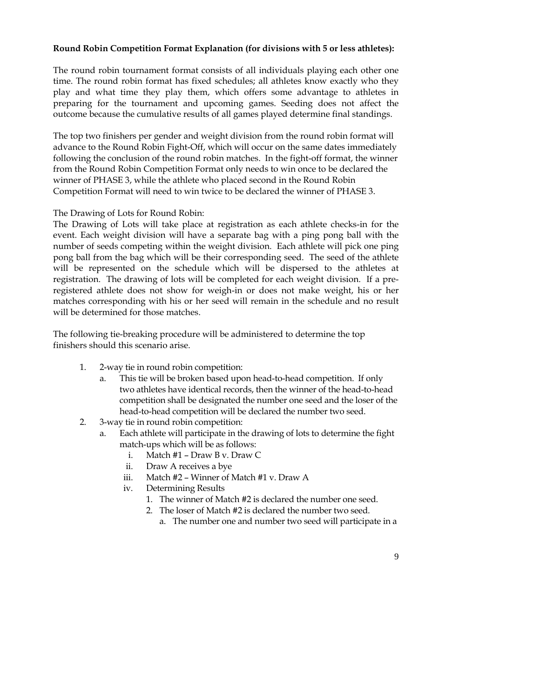#### **Round Robin Competition Format Explanation (for divisions with 5 or less athletes):**

The round robin tournament format consists of all individuals playing each other one time. The round robin format has fixed schedules; all athletes know exactly who they play and what time they play them, which offers some advantage to athletes in preparing for the tournament and upcoming games. Seeding does not affect the outcome because the cumulative results of all games played determine final standings.

The top two finishers per gender and weight division from the round robin format will advance to the Round Robin Fight-Off, which will occur on the same dates immediately following the conclusion of the round robin matches. In the fight-off format, the winner from the Round Robin Competition Format only needs to win once to be declared the winner of PHASE 3, while the athlete who placed second in the Round Robin Competition Format will need to win twice to be declared the winner of PHASE 3.

#### The Drawing of Lots for Round Robin:

The Drawing of Lots will take place at registration as each athlete checks-in for the event. Each weight division will have a separate bag with a ping pong ball with the number of seeds competing within the weight division. Each athlete will pick one ping pong ball from the bag which will be their corresponding seed. The seed of the athlete will be represented on the schedule which will be dispersed to the athletes at registration. The drawing of lots will be completed for each weight division. If a preregistered athlete does not show for weigh-in or does not make weight, his or her matches corresponding with his or her seed will remain in the schedule and no result will be determined for those matches.

The following tie-breaking procedure will be administered to determine the top finishers should this scenario arise.

- 1. 2-way tie in round robin competition:
	- This tie will be broken based upon head-to-head competition. If only two athletes have identical records, then the winner of the head-to-head competition shall be designated the number one seed and the loser of the head-to-head competition will be declared the number two seed.
- 2. 3-way tie in round robin competition:
	- Each athlete will participate in the drawing of lots to determine the fight match-ups which will be as follows:
		- i. Match #1 Draw B v. Draw C
		- ii. Draw A receives a bye
		- iii. Match #2 Winner of Match #1 v. Draw A
		- iv. Determining Results
			- 1. The winner of Match #2 is declared the number one seed.
			- 2. The loser of Match #2 is declared the number two seed.
				- a. The number one and number two seed will participate in a
					- 9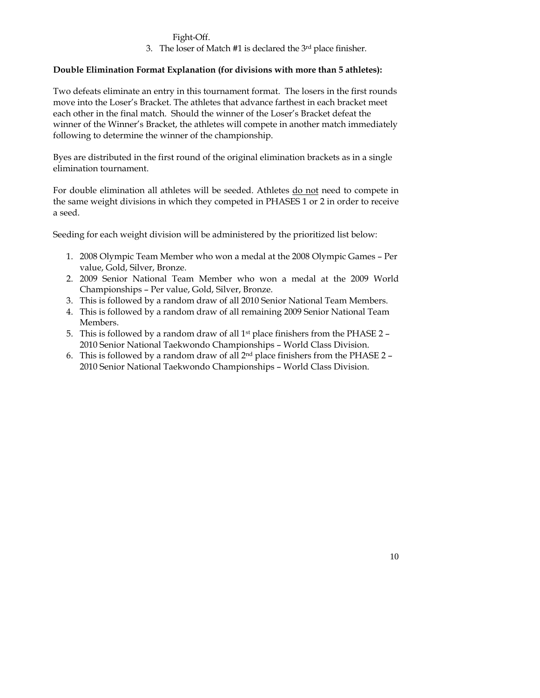#### Fight-Off.

3. The loser of Match #1 is declared the 3rd place finisher.

# **Double Elimination Format Explanation (for divisions with more than 5 athletes):**

Two defeats eliminate an entry in this tournament format. The losers in the first rounds move into the Loser's Bracket. The athletes that advance farthest in each bracket meet each other in the final match. Should the winner of the Loser's Bracket defeat the winner of the Winner's Bracket, the athletes will compete in another match immediately following to determine the winner of the championship.

Byes are distributed in the first round of the original elimination brackets as in a single elimination tournament.

For double elimination all athletes will be seeded. Athletes do not need to compete in the same weight divisions in which they competed in PHASES 1 or 2 in order to receive a seed.

Seeding for each weight division will be administered by the prioritized list below:

- 1. 2008 Olympic Team Member who won a medal at the 2008 Olympic Games Per value, Gold, Silver, Bronze.
- 2. 2009 Senior National Team Member who won a medal at the 2009 World Championships – Per value, Gold, Silver, Bronze.
- 3. This is followed by a random draw of all 2010 Senior National Team Members.
- 4. This is followed by a random draw of all remaining 2009 Senior National Team Members.
- 5. This is followed by a random draw of all 1st place finishers from the PHASE 2 2010 Senior National Taekwondo Championships – World Class Division.
- 6. This is followed by a random draw of all  $2<sup>nd</sup>$  place finishers from the PHASE 2 2010 Senior National Taekwondo Championships – World Class Division.

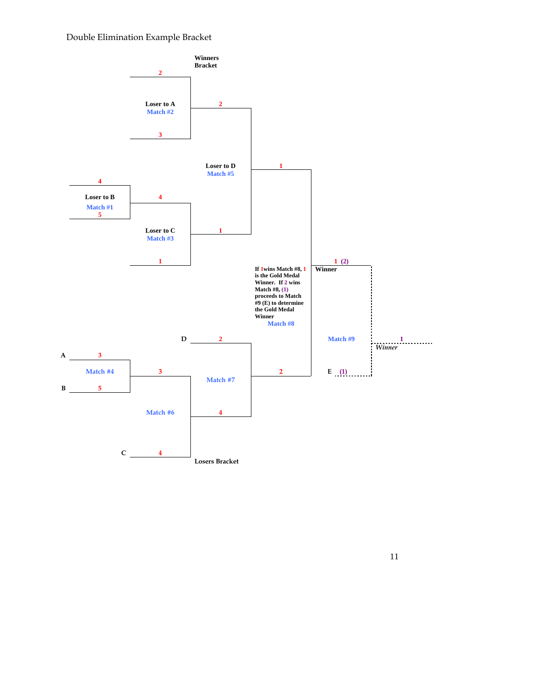# Double Elimination Example Bracket

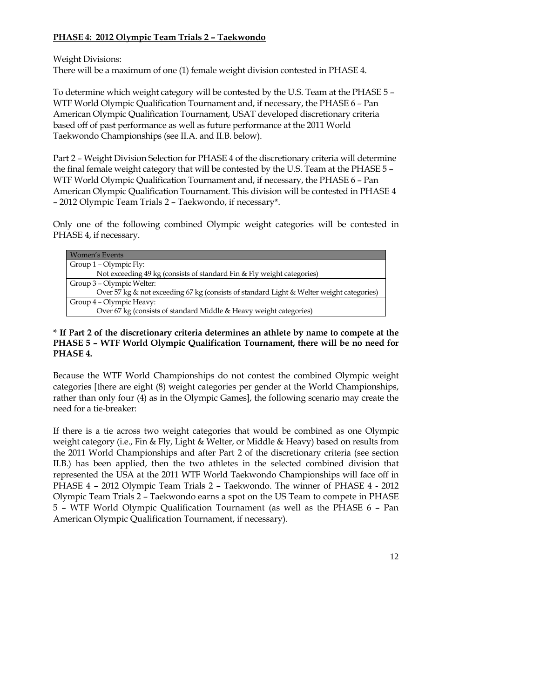# **PHASE 4: 2012 Olympic Team Trials 2 – Taekwondo**

Weight Divisions:

There will be a maximum of one (1) female weight division contested in PHASE 4.

To determine which weight category will be contested by the U.S. Team at the PHASE 5 – WTF World Olympic Qualification Tournament and, if necessary, the PHASE 6 – Pan American Olympic Qualification Tournament, USAT developed discretionary criteria based off of past performance as well as future performance at the 2011 World Taekwondo Championships (see II.A. and II.B. below).

Part 2 – Weight Division Selection for PHASE 4 of the discretionary criteria will determine the final female weight category that will be contested by the U.S. Team at the PHASE 5 – WTF World Olympic Qualification Tournament and, if necessary, the PHASE 6 – Pan American Olympic Qualification Tournament. This division will be contested in PHASE 4 – 2012 Olympic Team Trials 2 – Taekwondo, if necessary\*.

Only one of the following combined Olympic weight categories will be contested in PHASE 4, if necessary.

| Women's Events                                                                           |
|------------------------------------------------------------------------------------------|
| Group 1 – Olympic Fly:                                                                   |
| Not exceeding 49 kg (consists of standard Fin & Fly weight categories)                   |
| Group 3 – Olympic Welter:                                                                |
| Over 57 kg & not exceeding 67 kg (consists of standard Light & Welter weight categories) |
| Group 4 – Olympic Heavy:                                                                 |
| Over 67 kg (consists of standard Middle & Heavy weight categories)                       |

# **\* If Part 2 of the discretionary criteria determines an athlete by name to compete at the PHASE 5 – WTF World Olympic Qualification Tournament, there will be no need for PHASE 4.**

Because the WTF World Championships do not contest the combined Olympic weight categories [there are eight (8) weight categories per gender at the World Championships, rather than only four (4) as in the Olympic Games], the following scenario may create the need for a tie-breaker:

If there is a tie across two weight categories that would be combined as one Olympic weight category (i.e., Fin & Fly, Light & Welter, or Middle & Heavy) based on results from the 2011 World Championships and after Part 2 of the discretionary criteria (see section II.B.) has been applied, then the two athletes in the selected combined division that represented the USA at the 2011 WTF World Taekwondo Championships will face off in PHASE 4 – 2012 Olympic Team Trials 2 – Taekwondo. The winner of PHASE 4 - 2012 Olympic Team Trials 2 – Taekwondo earns a spot on the US Team to compete in PHASE 5 – WTF World Olympic Qualification Tournament (as well as the PHASE 6 – Pan American Olympic Qualification Tournament, if necessary).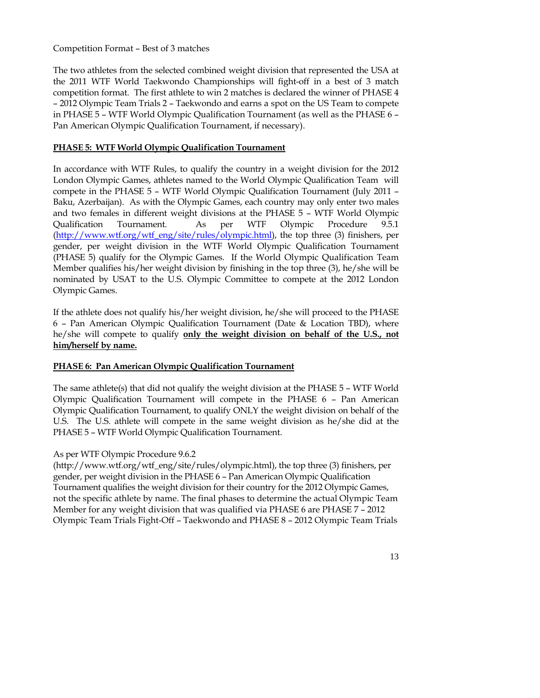# Competition Format – Best of 3 matches

The two athletes from the selected combined weight division that represented the USA at the 2011 WTF World Taekwondo Championships will fight-off in a best of 3 match competition format. The first athlete to win 2 matches is declared the winner of PHASE 4 – 2012 Olympic Team Trials 2 – Taekwondo and earns a spot on the US Team to compete in PHASE 5 – WTF World Olympic Qualification Tournament (as well as the PHASE 6 – Pan American Olympic Qualification Tournament, if necessary).

# **PHASE 5: WTF World Olympic Qualification Tournament**

In accordance with WTF Rules, to qualify the country in a weight division for the 2012 London Olympic Games, athletes named to the World Olympic Qualification Team will compete in the PHASE 5 – WTF World Olympic Qualification Tournament (July 2011 – Baku, Azerbaijan). As with the Olympic Games, each country may only enter two males and two females in different weight divisions at the PHASE 5 – WTF World Olympic Qualification Tournament. As per WTF Olympic Procedure 9.5.1 (http://www.wtf.org/wtf\_eng/site/rules/olympic.html), the top three (3) finishers, per gender, per weight division in the WTF World Olympic Qualification Tournament (PHASE 5) qualify for the Olympic Games. If the World Olympic Qualification Team Member qualifies his/her weight division by finishing in the top three (3), he/she will be nominated by USAT to the U.S. Olympic Committee to compete at the 2012 London Olympic Games.

If the athlete does not qualify his/her weight division, he/she will proceed to the PHASE 6 – Pan American Olympic Qualification Tournament (Date & Location TBD), where he/she will compete to qualify **only the weight division on behalf of the U.S., not him/herself by name.**

# **PHASE 6: Pan American Olympic Qualification Tournament**

The same athlete(s) that did not qualify the weight division at the PHASE 5 – WTF World Olympic Qualification Tournament will compete in the PHASE 6 – Pan American Olympic Qualification Tournament, to qualify ONLY the weight division on behalf of the U.S. The U.S. athlete will compete in the same weight division as he/she did at the PHASE 5 – WTF World Olympic Qualification Tournament.

# As per WTF Olympic Procedure 9.6.2

(http://www.wtf.org/wtf\_eng/site/rules/olympic.html), the top three (3) finishers, per gender, per weight division in the PHASE 6 – Pan American Olympic Qualification Tournament qualifies the weight division for their country for the 2012 Olympic Games, not the specific athlete by name. The final phases to determine the actual Olympic Team Member for any weight division that was qualified via PHASE 6 are PHASE 7 – 2012 Olympic Team Trials Fight-Off – Taekwondo and PHASE 8 – 2012 Olympic Team Trials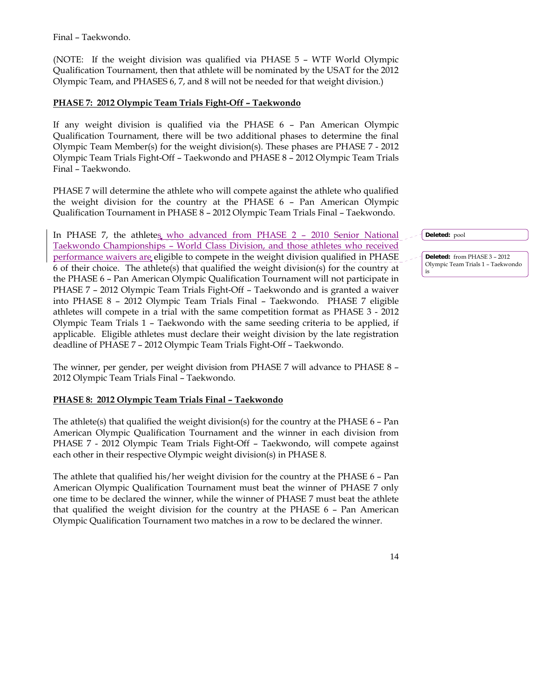Final – Taekwondo.

(NOTE: If the weight division was qualified via PHASE 5 – WTF World Olympic Qualification Tournament, then that athlete will be nominated by the USAT for the 2012 Olympic Team, and PHASES 6, 7, and 8 will not be needed for that weight division.)

# **PHASE 7: 2012 Olympic Team Trials Fight-Off – Taekwondo**

If any weight division is qualified via the PHASE 6 – Pan American Olympic Qualification Tournament, there will be two additional phases to determine the final Olympic Team Member(s) for the weight division(s). These phases are PHASE 7 - 2012 Olympic Team Trials Fight-Off – Taekwondo and PHASE 8 – 2012 Olympic Team Trials Final – Taekwondo.

PHASE 7 will determine the athlete who will compete against the athlete who qualified the weight division for the country at the PHASE 6 – Pan American Olympic Qualification Tournament in PHASE 8 – 2012 Olympic Team Trials Final – Taekwondo.

In PHASE 7, the athletes who advanced from PHASE 2 - 2010 Senior National Taekwondo Championships – World Class Division, and those athletes who received performance waivers are eligible to compete in the weight division qualified in PHASE 6 of their choice. The athlete(s) that qualified the weight division(s) for the country at the PHASE 6 – Pan American Olympic Qualification Tournament will not participate in PHASE 7 – 2012 Olympic Team Trials Fight-Off – Taekwondo and is granted a waiver into PHASE 8 – 2012 Olympic Team Trials Final – Taekwondo. PHASE 7 eligible athletes will compete in a trial with the same competition format as PHASE 3 - 2012 Olympic Team Trials 1 – Taekwondo with the same seeding criteria to be applied, if applicable. Eligible athletes must declare their weight division by the late registration deadline of PHASE 7 – 2012 Olympic Team Trials Fight-Off – Taekwondo.

The winner, per gender, per weight division from PHASE 7 will advance to PHASE 8 – 2012 Olympic Team Trials Final – Taekwondo.

#### **PHASE 8: 2012 Olympic Team Trials Final – Taekwondo**

The athlete(s) that qualified the weight division(s) for the country at the PHASE 6 – Pan American Olympic Qualification Tournament and the winner in each division from PHASE 7 - 2012 Olympic Team Trials Fight-Off – Taekwondo, will compete against each other in their respective Olympic weight division(s) in PHASE 8.

The athlete that qualified his/her weight division for the country at the PHASE 6 – Pan American Olympic Qualification Tournament must beat the winner of PHASE 7 only one time to be declared the winner, while the winner of PHASE 7 must beat the athlete that qualified the weight division for the country at the PHASE 6 – Pan American Olympic Qualification Tournament two matches in a row to be declared the winner.

**Deleted:** pool

14

**Deleted:** from PHASE 3 – 2012 Olympic Team Trials 1 – Taekwondo is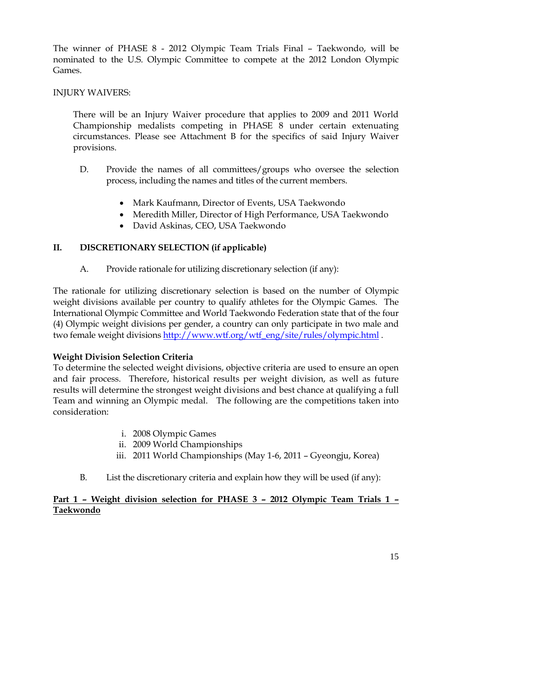The winner of PHASE 8 - 2012 Olympic Team Trials Final – Taekwondo, will be nominated to the U.S. Olympic Committee to compete at the 2012 London Olympic Games.

#### INJURY WAIVERS:

 There will be an Injury Waiver procedure that applies to 2009 and 2011 World Championship medalists competing in PHASE 8 under certain extenuating circumstances. Please see Attachment B for the specifics of said Injury Waiver provisions.

- D. Provide the names of all committees/groups who oversee the selection process, including the names and titles of the current members.
	- Mark Kaufmann, Director of Events, USA Taekwondo
	- Meredith Miller, Director of High Performance, USA Taekwondo
	- David Askinas, CEO, USA Taekwondo

# **II. DISCRETIONARY SELECTION (if applicable)**

A. Provide rationale for utilizing discretionary selection (if any):

The rationale for utilizing discretionary selection is based on the number of Olympic weight divisions available per country to qualify athletes for the Olympic Games. The International Olympic Committee and World Taekwondo Federation state that of the four (4) Olympic weight divisions per gender, a country can only participate in two male and two female weight divisions http://www.wtf.org/wtf\_eng/site/rules/olympic.html .

# **Weight Division Selection Criteria**

To determine the selected weight divisions, objective criteria are used to ensure an open and fair process. Therefore, historical results per weight division, as well as future results will determine the strongest weight divisions and best chance at qualifying a full Team and winning an Olympic medal. The following are the competitions taken into consideration:

- i. 2008 Olympic Games
- ii. 2009 World Championships
- iii. 2011 World Championships (May 1-6, 2011 Gyeongju, Korea)
- B. List the discretionary criteria and explain how they will be used (if any):

# **Part 1 – Weight division selection for PHASE 3 – 2012 Olympic Team Trials 1 – Taekwondo**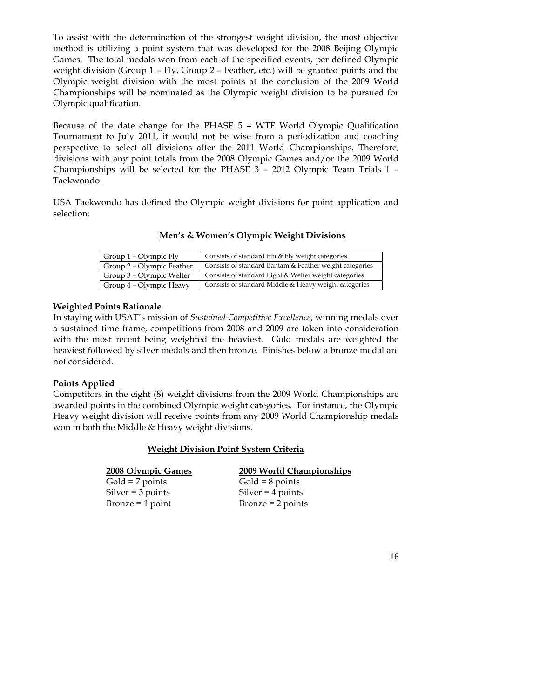To assist with the determination of the strongest weight division, the most objective method is utilizing a point system that was developed for the 2008 Beijing Olympic Games. The total medals won from each of the specified events, per defined Olympic weight division (Group 1 – Fly, Group 2 – Feather, etc.) will be granted points and the Olympic weight division with the most points at the conclusion of the 2009 World Championships will be nominated as the Olympic weight division to be pursued for Olympic qualification.

Because of the date change for the PHASE 5 – WTF World Olympic Qualification Tournament to July 2011, it would not be wise from a periodization and coaching perspective to select all divisions after the 2011 World Championships. Therefore, divisions with any point totals from the 2008 Olympic Games and/or the 2009 World Championships will be selected for the PHASE 3 – 2012 Olympic Team Trials 1 – Taekwondo.

USA Taekwondo has defined the Olympic weight divisions for point application and selection:

| Men's & Women's Olympic Weight Divisions |
|------------------------------------------|
|------------------------------------------|

| Group 1 – Olympic Fly     | Consists of standard Fin & Fly weight categories        |  |
|---------------------------|---------------------------------------------------------|--|
| Group 2 – Olympic Feather | Consists of standard Bantam & Feather weight categories |  |
| Group 3 – Olympic Welter  | Consists of standard Light & Welter weight categories   |  |
| Group 4 - Olympic Heavy   | Consists of standard Middle & Heavy weight categories   |  |

#### **Weighted Points Rationale**

In staying with USAT's mission of *Sustained Competitive Excellence*, winning medals over a sustained time frame, competitions from 2008 and 2009 are taken into consideration with the most recent being weighted the heaviest. Gold medals are weighted the heaviest followed by silver medals and then bronze. Finishes below a bronze medal are not considered.

#### **Points Applied**

Competitors in the eight (8) weight divisions from the 2009 World Championships are awarded points in the combined Olympic weight categories. For instance, the Olympic Heavy weight division will receive points from any 2009 World Championship medals won in both the Middle & Heavy weight divisions.

#### **Weight Division Point System Criteria**

| 2008 Olympic Games  | 2009 World Championships |
|---------------------|--------------------------|
| $Gold = 7 points$   | $Gold = 8$ points        |
| $Silver = 3 points$ | Silver $=$ 4 points      |
| Bronze $=$ 1 point  | $Bronze = 2 points$      |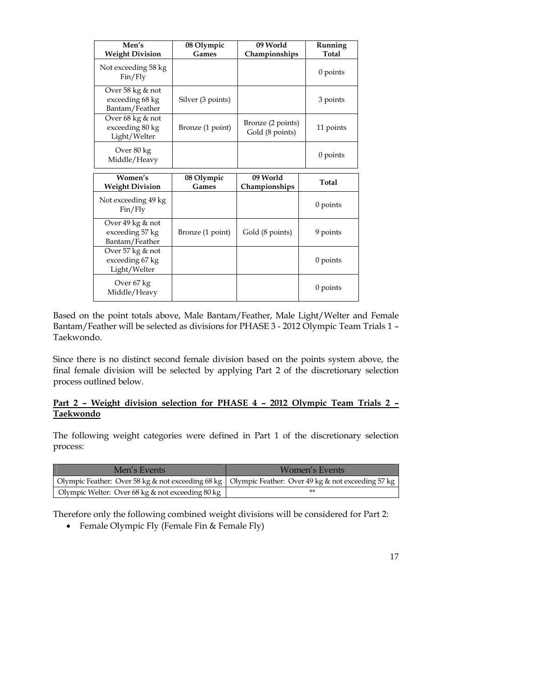| Men's<br><b>Weight Division</b>                       | 08 Olympic<br>Games | 09 World<br>Championships            | Running<br>Total |
|-------------------------------------------------------|---------------------|--------------------------------------|------------------|
| Not exceeding 58 kg<br>Fin/Fly                        |                     |                                      | $0$ points       |
| Over 58 kg & not<br>exceeding 68 kg<br>Bantam/Feather | Silver (3 points)   |                                      | 3 points         |
| Over 68 kg & not<br>exceeding 80 kg<br>Light/Welter   | Bronze (1 point)    | Bronze (2 points)<br>Gold (8 points) | 11 points        |
| Over 80 kg<br>Middle/Heavy                            |                     |                                      | $0$ points       |
| Women's<br><b>Weight Division</b>                     | 08 Olympic<br>Games | 09 World<br>Championships            | Total            |
| Not exceeding 49 kg<br>Fin/Fly                        |                     |                                      | $0$ points       |
| Over 49 kg & not<br>exceeding 57 kg<br>Bantam/Feather | Bronze (1 point)    | Gold (8 points)                      | 9 points         |
| Over 57 kg & not<br>exceeding 67 kg<br>Light/Welter   |                     |                                      | $0$ points       |
|                                                       |                     |                                      |                  |

Based on the point totals above, Male Bantam/Feather, Male Light/Welter and Female Bantam/Feather will be selected as divisions for PHASE 3 - 2012 Olympic Team Trials 1 – Taekwondo.

Since there is no distinct second female division based on the points system above, the final female division will be selected by applying Part 2 of the discretionary selection process outlined below.

# **Part 2 – Weight division selection for PHASE 4 – 2012 Olympic Team Trials 2 – Taekwondo**

The following weight categories were defined in Part 1 of the discretionary selection process:

| Men's Events                                                                                          | Women's Events |
|-------------------------------------------------------------------------------------------------------|----------------|
| Olympic Feather: Over 58 kg & not exceeding 68 kg   Olympic Feather: Over 49 kg & not exceeding 57 kg |                |
| Olympic Welter: Over 68 kg & not exceeding 80 kg                                                      | **             |

Therefore only the following combined weight divisions will be considered for Part 2:

• Female Olympic Fly (Female Fin & Female Fly)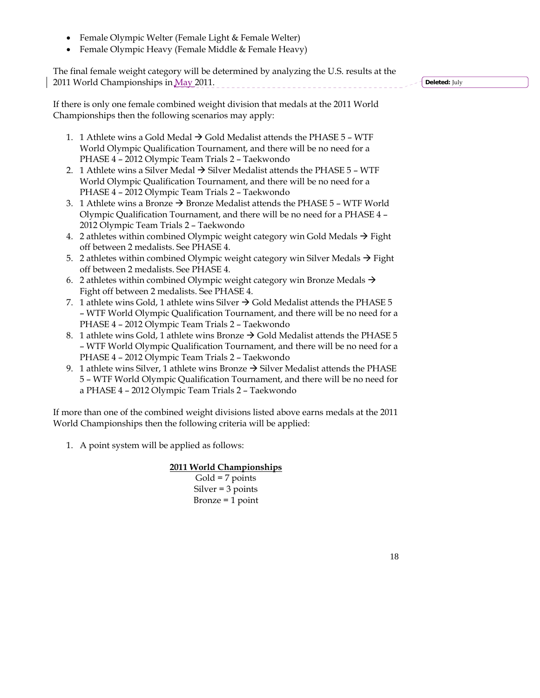- Female Olympic Welter (Female Light & Female Welter)
- Female Olympic Heavy (Female Middle & Female Heavy)

The final female weight category will be determined by analyzing the U.S. results at the 2011 World Championships in May 2011. \_\_\_\_\_\_\_\_\_\_\_\_\_\_\_\_\_\_\_\_\_\_\_\_

**Deleted:** July

If there is only one female combined weight division that medals at the 2011 World Championships then the following scenarios may apply:

- 1. 1 Athlete wins a Gold Medal  $\rightarrow$  Gold Medalist attends the PHASE 5 WTF World Olympic Qualification Tournament, and there will be no need for a PHASE 4 – 2012 Olympic Team Trials 2 – Taekwondo
- 2. 1 Athlete wins a Silver Medal  $\rightarrow$  Silver Medalist attends the PHASE 5 WTF World Olympic Qualification Tournament, and there will be no need for a PHASE 4 – 2012 Olympic Team Trials 2 – Taekwondo
- 3. 1 Athlete wins a Bronze  $\rightarrow$  Bronze Medalist attends the PHASE 5 WTF World Olympic Qualification Tournament, and there will be no need for a PHASE 4 – 2012 Olympic Team Trials 2 – Taekwondo
- 4. 2 athletes within combined Olympic weight category win Gold Medals  $\rightarrow$  Fight off between 2 medalists. See PHASE 4.
- 5. 2 athletes within combined Olympic weight category win Silver Medals  $\rightarrow$  Fight off between 2 medalists. See PHASE 4.
- 6. 2 athletes within combined Olympic weight category win Bronze Medals  $\rightarrow$ Fight off between 2 medalists. See PHASE 4.
- 7. 1 athlete wins Gold, 1 athlete wins Silver  $\rightarrow$  Gold Medalist attends the PHASE 5 – WTF World Olympic Qualification Tournament, and there will be no need for a PHASE 4 – 2012 Olympic Team Trials 2 – Taekwondo
- 8. 1 athlete wins Gold, 1 athlete wins Bronze  $\rightarrow$  Gold Medalist attends the PHASE 5 – WTF World Olympic Qualification Tournament, and there will be no need for a PHASE 4 – 2012 Olympic Team Trials 2 – Taekwondo
- 9. 1 athlete wins Silver, 1 athlete wins Bronze  $\rightarrow$  Silver Medalist attends the PHASE 5 – WTF World Olympic Qualification Tournament, and there will be no need for a PHASE 4 – 2012 Olympic Team Trials 2 – Taekwondo

If more than one of the combined weight divisions listed above earns medals at the 2011 World Championships then the following criteria will be applied:

1. A point system will be applied as follows:

#### **2011 World Championships**

 $Gold = 7 points$ Silver = 3 points Bronze  $=$  1 point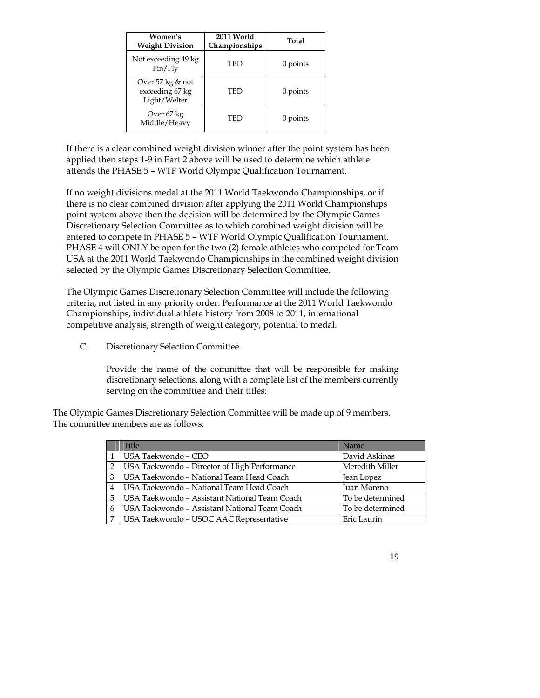| Women's<br><b>Weight Division</b>                   | 2011 World<br>Championships | Total      |
|-----------------------------------------------------|-----------------------------|------------|
| Not exceeding 49 kg<br>Fin/Fly                      | TBD                         | 0 points   |
| Over 57 kg & not<br>exceeding 67 kg<br>Light/Welter | TBD                         | 0 points   |
| Over 67 kg<br>Middle/Heavy                          | TBD                         | $0$ points |

If there is a clear combined weight division winner after the point system has been applied then steps 1-9 in Part 2 above will be used to determine which athlete attends the PHASE 5 – WTF World Olympic Qualification Tournament.

If no weight divisions medal at the 2011 World Taekwondo Championships, or if there is no clear combined division after applying the 2011 World Championships point system above then the decision will be determined by the Olympic Games Discretionary Selection Committee as to which combined weight division will be entered to compete in PHASE 5 – WTF World Olympic Qualification Tournament. PHASE 4 will ONLY be open for the two (2) female athletes who competed for Team USA at the 2011 World Taekwondo Championships in the combined weight division selected by the Olympic Games Discretionary Selection Committee.

The Olympic Games Discretionary Selection Committee will include the following criteria, not listed in any priority order: Performance at the 2011 World Taekwondo Championships, individual athlete history from 2008 to 2011, international competitive analysis, strength of weight category, potential to medal.

C. Discretionary Selection Committee

Provide the name of the committee that will be responsible for making discretionary selections, along with a complete list of the members currently serving on the committee and their titles:

The Olympic Games Discretionary Selection Committee will be made up of 9 members. The committee members are as follows:

|   | Title                                               | Name             |
|---|-----------------------------------------------------|------------------|
|   | USA Taekwondo - CEO                                 | David Askinas    |
|   | <b>USA Taekwondo - Director of High Performance</b> | Meredith Miller  |
| 3 | USA Taekwondo - National Team Head Coach            | Jean Lopez       |
| 4 | USA Taekwondo - National Team Head Coach            | Juan Moreno      |
| 5 | USA Taekwondo - Assistant National Team Coach       | To be determined |
| 6 | USA Taekwondo - Assistant National Team Coach       | To be determined |
|   | USA Taekwondo - USOC AAC Representative             | Eric Laurin      |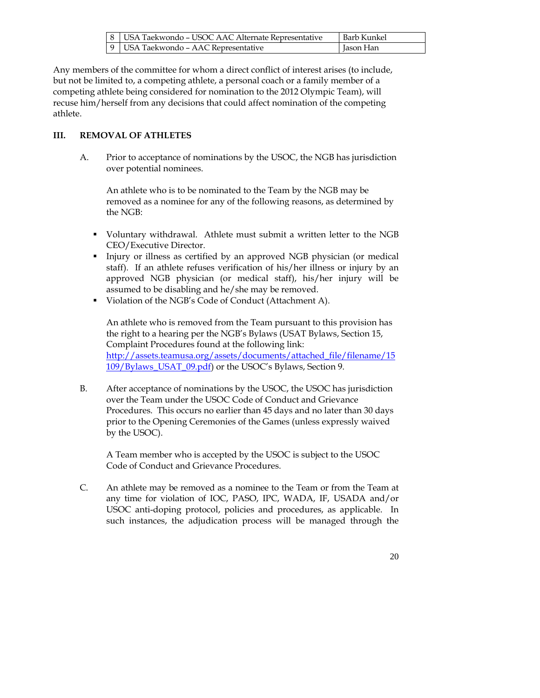| 8   USA Taekwondo – USOC AAC Alternate Representative | Barb Kunkel |
|-------------------------------------------------------|-------------|
| 9   USA Taekwondo - AAC Representative                | Jason Han   |

Any members of the committee for whom a direct conflict of interest arises (to include, but not be limited to, a competing athlete, a personal coach or a family member of a competing athlete being considered for nomination to the 2012 Olympic Team), will recuse him/herself from any decisions that could affect nomination of the competing athlete.

# **III. REMOVAL OF ATHLETES**

A. Prior to acceptance of nominations by the USOC, the NGB has jurisdiction over potential nominees.

An athlete who is to be nominated to the Team by the NGB may be removed as a nominee for any of the following reasons, as determined by the NGB:

- Voluntary withdrawal. Athlete must submit a written letter to the NGB CEO/Executive Director.
- Injury or illness as certified by an approved NGB physician (or medical staff). If an athlete refuses verification of his/her illness or injury by an approved NGB physician (or medical staff), his/her injury will be assumed to be disabling and he/she may be removed.
- Violation of the NGB's Code of Conduct (Attachment A).

An athlete who is removed from the Team pursuant to this provision has the right to a hearing per the NGB's Bylaws (USAT Bylaws, Section 15, Complaint Procedures found at the following link: http://assets.teamusa.org/assets/documents/attached\_file/filename/15 109/Bylaws\_USAT\_09.pdf) or the USOC's Bylaws, Section 9.

B. After acceptance of nominations by the USOC, the USOC has jurisdiction over the Team under the USOC Code of Conduct and Grievance Procedures. This occurs no earlier than 45 days and no later than 30 days prior to the Opening Ceremonies of the Games (unless expressly waived by the USOC).

A Team member who is accepted by the USOC is subject to the USOC Code of Conduct and Grievance Procedures.

C. An athlete may be removed as a nominee to the Team or from the Team at any time for violation of IOC, PASO, IPC, WADA, IF, USADA and/or USOC anti-doping protocol, policies and procedures, as applicable. In such instances, the adjudication process will be managed through the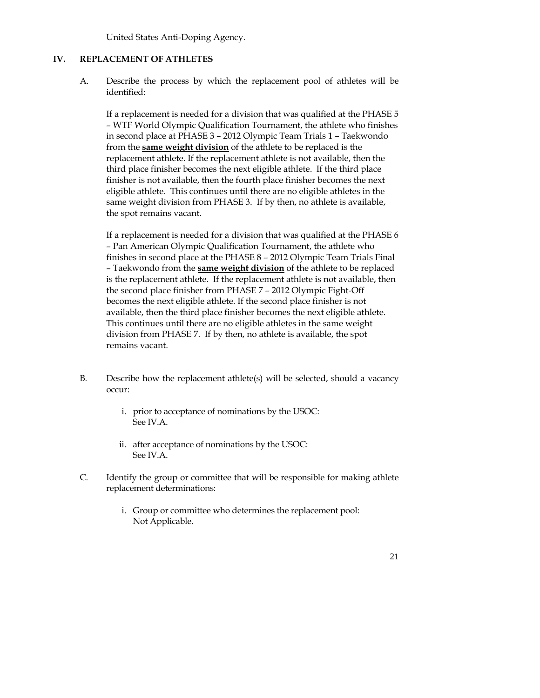United States Anti-Doping Agency.

#### **IV. REPLACEMENT OF ATHLETES**

A. Describe the process by which the replacement pool of athletes will be identified:

If a replacement is needed for a division that was qualified at the PHASE 5 – WTF World Olympic Qualification Tournament, the athlete who finishes in second place at PHASE 3 – 2012 Olympic Team Trials 1 – Taekwondo from the **same weight division** of the athlete to be replaced is the replacement athlete. If the replacement athlete is not available, then the third place finisher becomes the next eligible athlete. If the third place finisher is not available, then the fourth place finisher becomes the next eligible athlete. This continues until there are no eligible athletes in the same weight division from PHASE 3. If by then, no athlete is available, the spot remains vacant.

If a replacement is needed for a division that was qualified at the PHASE 6 – Pan American Olympic Qualification Tournament, the athlete who finishes in second place at the PHASE 8 – 2012 Olympic Team Trials Final – Taekwondo from the **same weight division** of the athlete to be replaced is the replacement athlete. If the replacement athlete is not available, then the second place finisher from PHASE 7 – 2012 Olympic Fight-Off becomes the next eligible athlete. If the second place finisher is not available, then the third place finisher becomes the next eligible athlete. This continues until there are no eligible athletes in the same weight division from PHASE 7. If by then, no athlete is available, the spot remains vacant.

- B. Describe how the replacement athlete(s) will be selected, should a vacancy occur:
	- i. prior to acceptance of nominations by the USOC: See IV.A.
	- ii. after acceptance of nominations by the USOC: See IV.A.
- C. Identify the group or committee that will be responsible for making athlete replacement determinations:
	- i. Group or committee who determines the replacement pool: Not Applicable.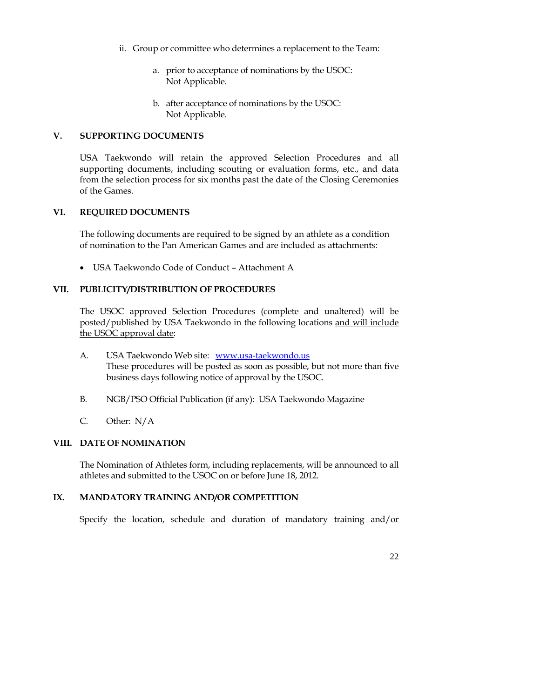- ii. Group or committee who determines a replacement to the Team:
	- a. prior to acceptance of nominations by the USOC: Not Applicable.
	- b. after acceptance of nominations by the USOC: Not Applicable.

#### **V. SUPPORTING DOCUMENTS**

USA Taekwondo will retain the approved Selection Procedures and all supporting documents, including scouting or evaluation forms, etc., and data from the selection process for six months past the date of the Closing Ceremonies of the Games.

#### **VI. REQUIRED DOCUMENTS**

The following documents are required to be signed by an athlete as a condition of nomination to the Pan American Games and are included as attachments:

USA Taekwondo Code of Conduct – Attachment A

# **VII. PUBLICITY/DISTRIBUTION OF PROCEDURES**

The USOC approved Selection Procedures (complete and unaltered) will be posted/published by USA Taekwondo in the following locations and will include the USOC approval date:

- A. USA Taekwondo Web site: www.usa-taekwondo.us These procedures will be posted as soon as possible, but not more than five business days following notice of approval by the USOC.
- B. NGB/PSO Official Publication (if any): USA Taekwondo Magazine
- C. Other: N/A

#### **VIII. DATE OF NOMINATION**

The Nomination of Athletes form, including replacements, will be announced to all athletes and submitted to the USOC on or before June 18, 2012.

# **IX. MANDATORY TRAINING AND/OR COMPETITION**

Specify the location, schedule and duration of mandatory training and/or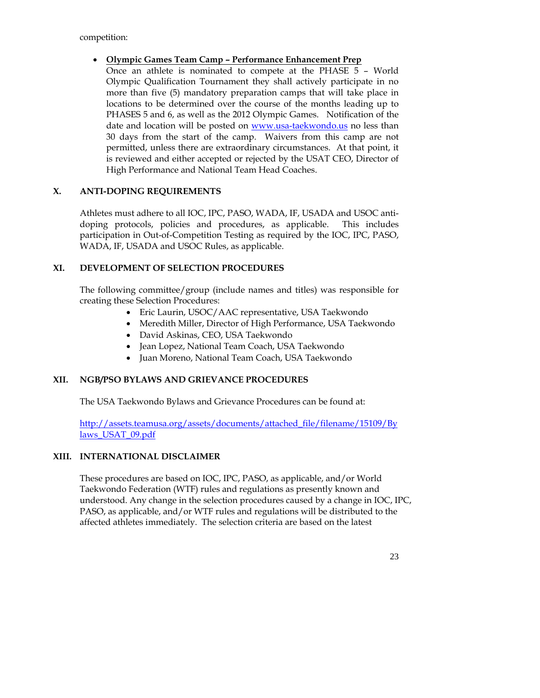competition:

# **Olympic Games Team Camp – Performance Enhancement Prep**

Once an athlete is nominated to compete at the PHASE 5 – World Olympic Qualification Tournament they shall actively participate in no more than five (5) mandatory preparation camps that will take place in locations to be determined over the course of the months leading up to PHASES 5 and 6, as well as the 2012 Olympic Games. Notification of the date and location will be posted on www.usa-taekwondo.us no less than 30 days from the start of the camp. Waivers from this camp are not permitted, unless there are extraordinary circumstances. At that point, it is reviewed and either accepted or rejected by the USAT CEO, Director of High Performance and National Team Head Coaches.

# **X. ANTI-DOPING REQUIREMENTS**

Athletes must adhere to all IOC, IPC, PASO, WADA, IF, USADA and USOC antidoping protocols, policies and procedures, as applicable. This includes participation in Out-of-Competition Testing as required by the IOC, IPC, PASO, WADA, IF, USADA and USOC Rules, as applicable.

# **XI. DEVELOPMENT OF SELECTION PROCEDURES**

The following committee/group (include names and titles) was responsible for creating these Selection Procedures:

- Eric Laurin, USOC/AAC representative, USA Taekwondo
- Meredith Miller, Director of High Performance, USA Taekwondo
- David Askinas, CEO, USA Taekwondo
- Jean Lopez, National Team Coach, USA Taekwondo
- Juan Moreno, National Team Coach, USA Taekwondo

# **XII. NGB/PSO BYLAWS AND GRIEVANCE PROCEDURES**

The USA Taekwondo Bylaws and Grievance Procedures can be found at:

http://assets.teamusa.org/assets/documents/attached\_file/filename/15109/By laws\_USAT\_09.pdf

#### **XIII. INTERNATIONAL DISCLAIMER**

These procedures are based on IOC, IPC, PASO, as applicable, and/or World Taekwondo Federation (WTF) rules and regulations as presently known and understood. Any change in the selection procedures caused by a change in IOC, IPC, PASO, as applicable, and/or WTF rules and regulations will be distributed to the affected athletes immediately. The selection criteria are based on the latest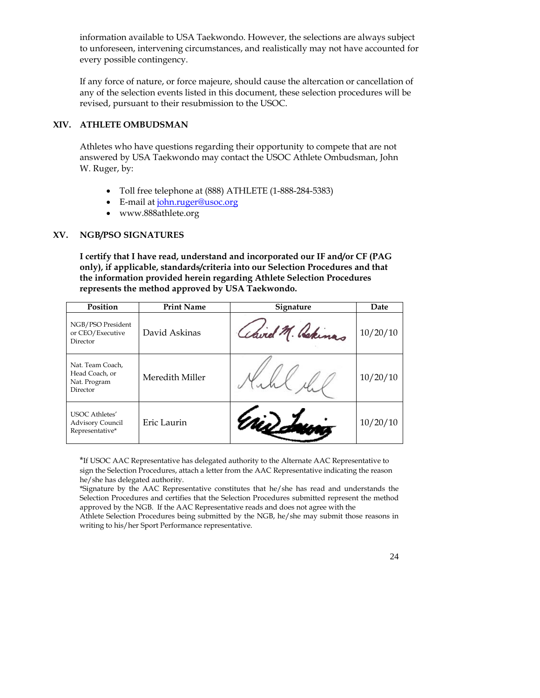information available to USA Taekwondo. However, the selections are always subject to unforeseen, intervening circumstances, and realistically may not have accounted for every possible contingency.

If any force of nature, or force majeure, should cause the altercation or cancellation of any of the selection events listed in this document, these selection procedures will be revised, pursuant to their resubmission to the USOC.

#### **XIV. ATHLETE OMBUDSMAN**

Athletes who have questions regarding their opportunity to compete that are not answered by USA Taekwondo may contact the USOC Athlete Ombudsman, John W. Ruger, by:

- Toll free telephone at (888) ATHLETE (1-888-284-5383)
- E-mail at john.ruger@usoc.org
- www.888athlete.org

# **XV. NGB/PSO SIGNATURES**

**I certify that I have read, understand and incorporated our IF and/or CF (PAG only), if applicable, standards/criteria into our Selection Procedures and that the information provided herein regarding Athlete Selection Procedures represents the method approved by USA Taekwondo.** 

| Position                                                            | <b>Print Name</b> | <b>Signature</b> | Date     |
|---------------------------------------------------------------------|-------------------|------------------|----------|
| NGB/PSO President<br>or CEO/Executive<br>Director                   | David Askinas     | Chird M. Rekinas | 10/20/10 |
| Nat. Team Coach,<br>Head Coach, or<br>Nat. Program<br>Director      | Meredith Miller   |                  | 10/20/10 |
| <b>USOC</b> Athletes'<br><b>Advisory Council</b><br>Representative* | Eric Laurin       |                  | 10/20/10 |

\*If USOC AAC Representative has delegated authority to the Alternate AAC Representative to sign the Selection Procedures, attach a letter from the AAC Representative indicating the reason he/she has delegated authority.

\*Signature by the AAC Representative constitutes that he/she has read and understands the Selection Procedures and certifies that the Selection Procedures submitted represent the method approved by the NGB. If the AAC Representative reads and does not agree with the

Athlete Selection Procedures being submitted by the NGB, he/she may submit those reasons in writing to his/her Sport Performance representative.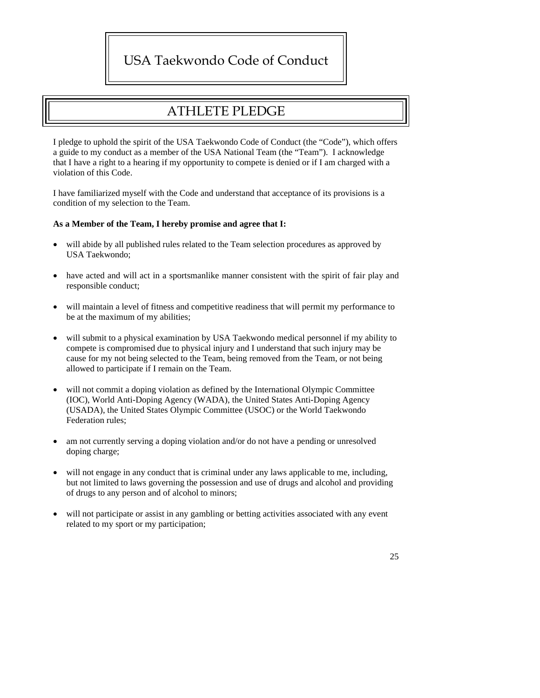# USA Taekwondo Code of Conduct

# ATHLETE PLEDGE

I pledge to uphold the spirit of the USA Taekwondo Code of Conduct (the "Code"), which offers a guide to my conduct as a member of the USA National Team (the "Team"). I acknowledge that I have a right to a hearing if my opportunity to compete is denied or if I am charged with a violation of this Code.

I have familiarized myself with the Code and understand that acceptance of its provisions is a condition of my selection to the Team.

#### **As a Member of the Team, I hereby promise and agree that I:**

- will abide by all published rules related to the Team selection procedures as approved by USA Taekwondo;
- have acted and will act in a sportsmanlike manner consistent with the spirit of fair play and responsible conduct;
- will maintain a level of fitness and competitive readiness that will permit my performance to be at the maximum of my abilities;
- will submit to a physical examination by USA Taekwondo medical personnel if my ability to compete is compromised due to physical injury and I understand that such injury may be cause for my not being selected to the Team, being removed from the Team, or not being allowed to participate if I remain on the Team.
- will not commit a doping violation as defined by the International Olympic Committee (IOC), World Anti-Doping Agency (WADA), the United States Anti-Doping Agency (USADA), the United States Olympic Committee (USOC) or the World Taekwondo Federation rules;
- am not currently serving a doping violation and/or do not have a pending or unresolved doping charge;
- will not engage in any conduct that is criminal under any laws applicable to me, including, but not limited to laws governing the possession and use of drugs and alcohol and providing of drugs to any person and of alcohol to minors;
- will not participate or assist in any gambling or betting activities associated with any event related to my sport or my participation;

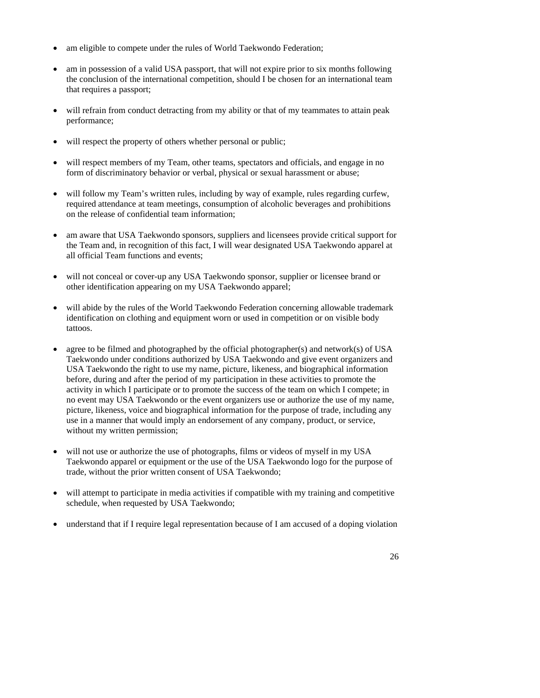- am eligible to compete under the rules of World Taekwondo Federation;
- am in possession of a valid USA passport, that will not expire prior to six months following the conclusion of the international competition, should I be chosen for an international team that requires a passport;
- will refrain from conduct detracting from my ability or that of my teammates to attain peak performance;
- will respect the property of others whether personal or public;
- will respect members of my Team, other teams, spectators and officials, and engage in no form of discriminatory behavior or verbal, physical or sexual harassment or abuse;
- will follow my Team's written rules, including by way of example, rules regarding curfew, required attendance at team meetings, consumption of alcoholic beverages and prohibitions on the release of confidential team information;
- am aware that USA Taekwondo sponsors, suppliers and licensees provide critical support for the Team and, in recognition of this fact, I will wear designated USA Taekwondo apparel at all official Team functions and events;
- will not conceal or cover-up any USA Taekwondo sponsor, supplier or licensee brand or other identification appearing on my USA Taekwondo apparel;
- will abide by the rules of the World Taekwondo Federation concerning allowable trademark identification on clothing and equipment worn or used in competition or on visible body tattoos.
- agree to be filmed and photographed by the official photographer(s) and network(s) of USA Taekwondo under conditions authorized by USA Taekwondo and give event organizers and USA Taekwondo the right to use my name, picture, likeness, and biographical information before, during and after the period of my participation in these activities to promote the activity in which I participate or to promote the success of the team on which I compete; in no event may USA Taekwondo or the event organizers use or authorize the use of my name, picture, likeness, voice and biographical information for the purpose of trade, including any use in a manner that would imply an endorsement of any company, product, or service, without my written permission;
- will not use or authorize the use of photographs, films or videos of myself in my USA Taekwondo apparel or equipment or the use of the USA Taekwondo logo for the purpose of trade, without the prior written consent of USA Taekwondo;
- will attempt to participate in media activities if compatible with my training and competitive schedule, when requested by USA Taekwondo;
- understand that if I require legal representation because of I am accused of a doping violation

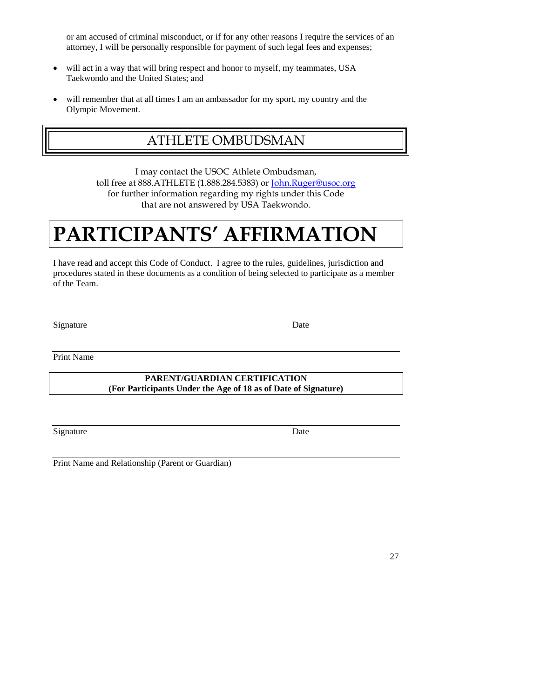or am accused of criminal misconduct, or if for any other reasons I require the services of an attorney, I will be personally responsible for payment of such legal fees and expenses;

- will act in a way that will bring respect and honor to myself, my teammates, USA Taekwondo and the United States; and
- will remember that at all times I am an ambassador for my sport, my country and the Olympic Movement.

# ATHLETE OMBUDSMAN

I may contact the USOC Athlete Ombudsman, toll free at 888.ATHLETE (1.888.284.5383) or John.Ruger@usoc.org for further information regarding my rights under this Code that are not answered by USA Taekwondo.

# **PARTICIPANTS' AFFIRMATION**

I have read and accept this Code of Conduct. I agree to the rules, guidelines, jurisdiction and procedures stated in these documents as a condition of being selected to participate as a member of the Team.

Signature Date

Print Name

**PARENT/GUARDIAN CERTIFICATION (For Participants Under the Age of 18 as of Date of Signature)**

Signature Date

Print Name and Relationship (Parent or Guardian)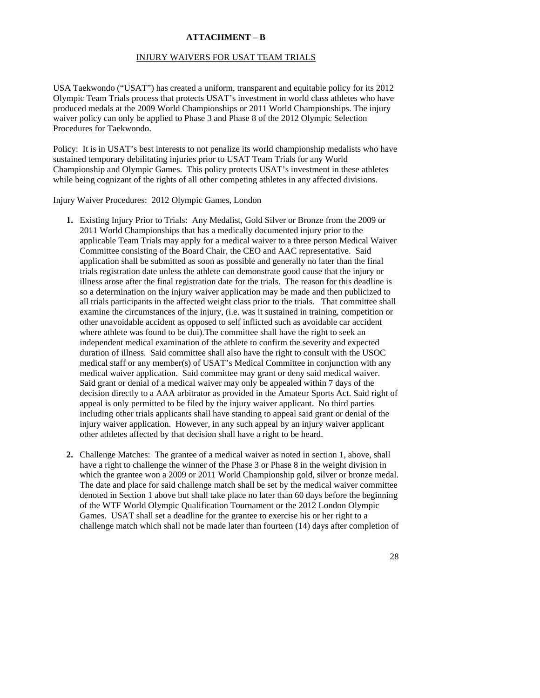#### **ATTACHMENT – B**

#### INJURY WAIVERS FOR USAT TEAM TRIALS

USA Taekwondo ("USAT") has created a uniform, transparent and equitable policy for its 2012 Olympic Team Trials process that protects USAT's investment in world class athletes who have produced medals at the 2009 World Championships or 2011 World Championships. The injury waiver policy can only be applied to Phase 3 and Phase 8 of the 2012 Olympic Selection Procedures for Taekwondo.

Policy: It is in USAT's best interests to not penalize its world championship medalists who have sustained temporary debilitating injuries prior to USAT Team Trials for any World Championship and Olympic Games. This policy protects USAT's investment in these athletes while being cognizant of the rights of all other competing athletes in any affected divisions.

Injury Waiver Procedures: 2012 Olympic Games, London

- **1.** Existing Injury Prior to Trials: Any Medalist, Gold Silver or Bronze from the 2009 or 2011 World Championships that has a medically documented injury prior to the applicable Team Trials may apply for a medical waiver to a three person Medical Waiver Committee consisting of the Board Chair, the CEO and AAC representative. Said application shall be submitted as soon as possible and generally no later than the final trials registration date unless the athlete can demonstrate good cause that the injury or illness arose after the final registration date for the trials. The reason for this deadline is so a determination on the injury waiver application may be made and then publicized to all trials participants in the affected weight class prior to the trials. That committee shall examine the circumstances of the injury, (i.e. was it sustained in training, competition or other unavoidable accident as opposed to self inflicted such as avoidable car accident where athlete was found to be dui).The committee shall have the right to seek an independent medical examination of the athlete to confirm the severity and expected duration of illness. Said committee shall also have the right to consult with the USOC medical staff or any member(s) of USAT's Medical Committee in conjunction with any medical waiver application. Said committee may grant or deny said medical waiver. Said grant or denial of a medical waiver may only be appealed within 7 days of the decision directly to a AAA arbitrator as provided in the Amateur Sports Act. Said right of appeal is only permitted to be filed by the injury waiver applicant. No third parties including other trials applicants shall have standing to appeal said grant or denial of the injury waiver application. However, in any such appeal by an injury waiver applicant other athletes affected by that decision shall have a right to be heard.
- **2.** Challenge Matches: The grantee of a medical waiver as noted in section 1, above, shall have a right to challenge the winner of the Phase 3 or Phase 8 in the weight division in which the grantee won a 2009 or 2011 World Championship gold, silver or bronze medal. The date and place for said challenge match shall be set by the medical waiver committee denoted in Section 1 above but shall take place no later than 60 days before the beginning of the WTF World Olympic Qualification Tournament or the 2012 London Olympic Games. USAT shall set a deadline for the grantee to exercise his or her right to a challenge match which shall not be made later than fourteen (14) days after completion of